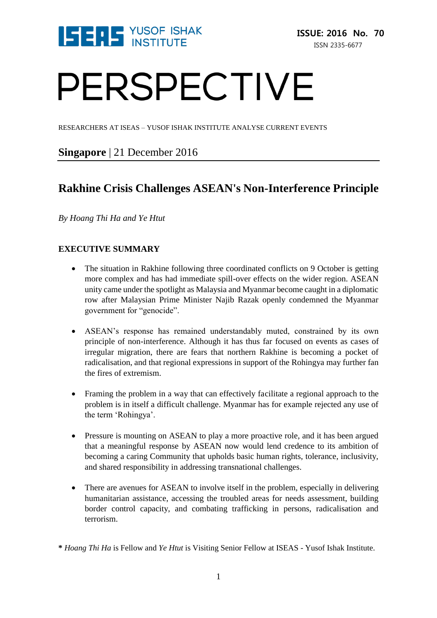

# PERSPECTIVE

RESEARCHERS AT ISEAS – YUSOF ISHAK INSTITUTE ANALYSE CURRENT EVENTS

# **Singapore** | 21 December 2016

# **Rakhine Crisis Challenges ASEAN's Non-Interference Principle**

*By Hoang Thi Ha and Ye Htut*

# **EXECUTIVE SUMMARY**

- The situation in Rakhine following three coordinated conflicts on 9 October is getting more complex and has had immediate spill-over effects on the wider region. ASEAN unity came under the spotlight as Malaysia and Myanmar become caught in a diplomatic row after Malaysian Prime Minister Najib Razak openly condemned the Myanmar government for "genocide".
- ASEAN's response has remained understandably muted, constrained by its own principle of non-interference. Although it has thus far focused on events as cases of irregular migration, there are fears that northern Rakhine is becoming a pocket of radicalisation, and that regional expressions in support of the Rohingya may further fan the fires of extremism.
- Framing the problem in a way that can effectively facilitate a regional approach to the problem is in itself a difficult challenge. Myanmar has for example rejected any use of the term 'Rohingya'.
- Pressure is mounting on ASEAN to play a more proactive role, and it has been argued that a meaningful response by ASEAN now would lend credence to its ambition of becoming a caring Community that upholds basic human rights, tolerance, inclusivity, and shared responsibility in addressing transnational challenges.
- There are avenues for ASEAN to involve itself in the problem, especially in delivering humanitarian assistance, accessing the troubled areas for needs assessment, building border control capacity, and combating trafficking in persons, radicalisation and terrorism.

**<sup>\*</sup>** *Hoang Thi Ha* is Fellow and *Ye Htut* is Visiting Senior Fellow at ISEAS - Yusof Ishak Institute.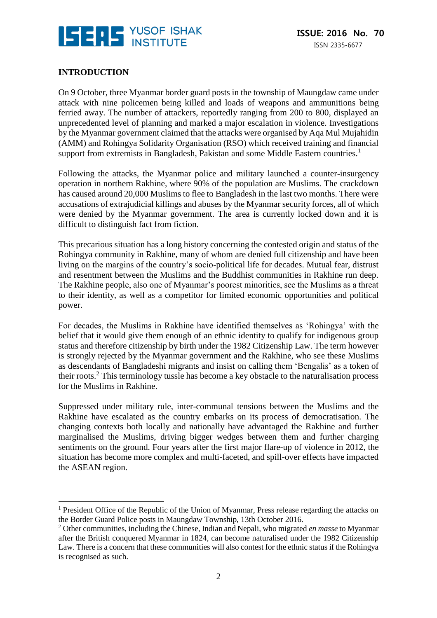

# **INTRODUCTION**

<u>.</u>

On 9 October, three Myanmar border guard posts in the township of Maungdaw came under attack with nine policemen being killed and loads of weapons and ammunitions being ferried away. The number of attackers, reportedly ranging from 200 to 800, displayed an unprecedented level of planning and marked a major escalation in violence. Investigations by the Myanmar government claimed that the attacks were organised by Aqa Mul Mujahidin (AMM) and Rohingya Solidarity Organisation (RSO) which received training and financial support from extremists in Bangladesh, Pakistan and some Middle Eastern countries.<sup>1</sup>

Following the attacks, the Myanmar police and military launched a counter-insurgency operation in northern Rakhine, where 90% of the population are Muslims. The crackdown has caused around 20,000 Muslims to flee to Bangladesh in the last two months. There were accusations of extrajudicial killings and abuses by the Myanmar security forces, all of which were denied by the Myanmar government. The area is currently locked down and it is difficult to distinguish fact from fiction.

This precarious situation has a long history concerning the contested origin and status of the Rohingya community in Rakhine, many of whom are denied full citizenship and have been living on the margins of the country's socio-political life for decades. Mutual fear, distrust and resentment between the Muslims and the Buddhist communities in Rakhine run deep. The Rakhine people, also one of Myanmar's poorest minorities, see the Muslims as a threat to their identity, as well as a competitor for limited economic opportunities and political power.

For decades, the Muslims in Rakhine have identified themselves as 'Rohingya' with the belief that it would give them enough of an ethnic identity to qualify for indigenous group status and therefore citizenship by birth under the 1982 Citizenship Law. The term however is strongly rejected by the Myanmar government and the Rakhine, who see these Muslims as descendants of Bangladeshi migrants and insist on calling them 'Bengalis' as a token of their roots.<sup>2</sup> This terminology tussle has become a key obstacle to the naturalisation process for the Muslims in Rakhine.

Suppressed under military rule, inter-communal tensions between the Muslims and the Rakhine have escalated as the country embarks on its process of democratisation. The changing contexts both locally and nationally have advantaged the Rakhine and further marginalised the Muslims, driving bigger wedges between them and further charging sentiments on the ground. Four years after the first major flare-up of violence in 2012, the situation has become more complex and multi-faceted, and spill-over effects have impacted the ASEAN region.

<sup>&</sup>lt;sup>1</sup> President Office of the Republic of the Union of Myanmar, Press release regarding the attacks on the Border Guard Police posts in Maungdaw Township, 13th October 2016.

<sup>2</sup> Other communities, including the Chinese, Indian and Nepali, who migrated *en masse* to Myanmar after the British conquered Myanmar in 1824, can become naturalised under the 1982 Citizenship Law. There is a concern that these communities will also contest for the ethnic status if the Rohingya is recognised as such.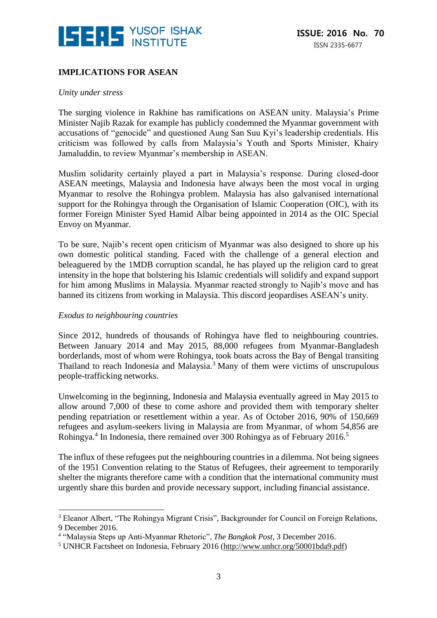

# **IMPLICATIONS FOR ASEAN**

#### *Unity under stress*

The surging violence in Rakhine has ramifications on ASEAN unity. Malaysia's Prime Minister Najib Razak for example has publicly condemned the Myanmar government with accusations of "genocide" and questioned Aung San Suu Kyi's leadership credentials. His criticism was followed by calls from Malaysia's Youth and Sports Minister, Khairy Jamaluddin, to review Myanmar's membership in ASEAN.

Muslim solidarity certainly played a part in Malaysia's response. During closed-door ASEAN meetings, Malaysia and Indonesia have always been the most vocal in urging Myanmar to resolve the Rohingya problem. Malaysia has also galvanised international support for the Rohingya through the Organisation of Islamic Cooperation (OIC), with its former Foreign Minister Syed Hamid Albar being appointed in 2014 as the OIC Special Envoy on Myanmar.

To be sure, Najib's recent open criticism of Myanmar was also designed to shore up his own domestic political standing. Faced with the challenge of a general election and beleaguered by the 1MDB corruption scandal, he has played up the religion card to great intensity in the hope that bolstering his Islamic credentials will solidify and expand support for him among Muslims in Malaysia. Myanmar reacted strongly to Najib's move and has banned its citizens from working in Malaysia. This discord jeopardises ASEAN's unity.

#### *Exodus to neighbouring countries*

<u>.</u>

Since 2012, hundreds of thousands of Rohingya have fled to neighbouring countries. Between January 2014 and May 2015, 88,000 refugees from Myanmar-Bangladesh borderlands, most of whom were Rohingya, took boats across the Bay of Bengal transiting Thailand to reach Indonesia and Malaysia.<sup>3</sup> Many of them were victims of unscrupulous people-trafficking networks.

Unwelcoming in the beginning, Indonesia and Malaysia eventually agreed in May 2015 to allow around 7,000 of these to come ashore and provided them with temporary shelter pending repatriation or resettlement within a year. As of October 2016, 90% of 150,669 refugees and asylum-seekers living in Malaysia are from Myanmar, of whom 54,856 are Rohingya.<sup>4</sup> In Indonesia, there remained over 300 Rohingya as of February 2016.<sup>5</sup>

The influx of these refugees put the neighbouring countries in a dilemma. Not being signees of the 1951 Convention relating to the Status of Refugees, their agreement to temporarily shelter the migrants therefore came with a condition that the international community must urgently share this burden and provide necessary support, including financial assistance.

<sup>&</sup>lt;sup>3</sup> Eleanor Albert, "The Rohingya Migrant Crisis", Backgrounder for Council on Foreign Relations, 9 December 2016.

<sup>4</sup> "Malaysia Steps up Anti-Myanmar Rhetoric", *The Bangkok Post*, 3 December 2016.

<sup>&</sup>lt;sup>5</sup> UNHCR Factsheet on Indonesia, February 2016 [\(http://www.unhcr.org/50001bda9.pdf\)](http://www.unhcr.org/50001bda9.pdf)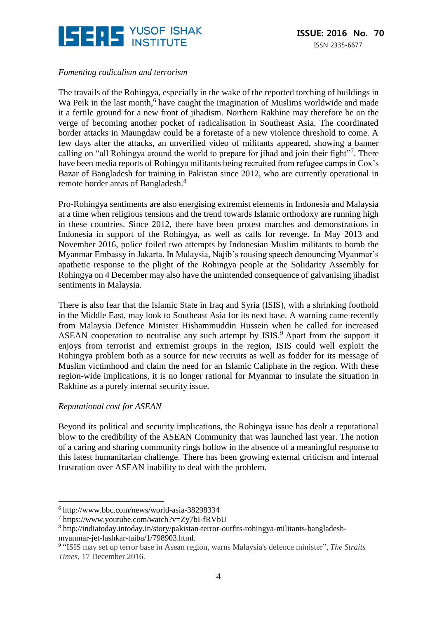

# *Fomenting radicalism and terrorism*

The travails of the Rohingya, especially in the wake of the reported torching of buildings in Wa Peik in the last month,<sup>6</sup> have caught the imagination of Muslims worldwide and made it a fertile ground for a new front of jihadism. Northern Rakhine may therefore be on the verge of becoming another pocket of radicalisation in Southeast Asia. The coordinated border attacks in Maungdaw could be a foretaste of a new violence threshold to come. A few days after the attacks, an unverified video of militants appeared, showing a banner calling on "all Rohingya around the world to prepare for jihad and join their fight"<sup>7</sup>. There have been media reports of Rohingya militants being recruited from refugee camps in Cox's Bazar of Bangladesh for training in Pakistan since 2012, who are currently operational in remote border areas of Bangladesh.<sup>8</sup>

Pro-Rohingya sentiments are also energising extremist elements in Indonesia and Malaysia at a time when religious tensions and the trend towards Islamic orthodoxy are running high in these countries. Since 2012, there have been protest marches and demonstrations in Indonesia in support of the Rohingya, as well as calls for revenge. In May 2013 and November 2016, police foiled two attempts by Indonesian Muslim militants to bomb the Myanmar Embassy in Jakarta. In Malaysia, Najib's rousing speech denouncing Myanmar's apathetic response to the plight of the Rohingya people at the Solidarity Assembly for Rohingya on 4 December may also have the unintended consequence of galvanising jihadist sentiments in Malaysia.

There is also fear that the Islamic State in Iraq and Syria (ISIS), with a shrinking foothold in the Middle East, may look to Southeast Asia for its next base. A warning came recently from Malaysia Defence Minister Hishammuddin Hussein when he called for increased ASEAN cooperation to neutralise any such attempt by ISIS.<sup>9</sup> Apart from the support it enjoys from terrorist and extremist groups in the region, ISIS could well exploit the Rohingya problem both as a source for new recruits as well as fodder for its message of Muslim victimhood and claim the need for an Islamic Caliphate in the region. With these region-wide implications, it is no longer rational for Myanmar to insulate the situation in Rakhine as a purely internal security issue.

# *Reputational cost for ASEAN*

<u>.</u>

Beyond its political and security implications, the Rohingya issue has dealt a reputational blow to the credibility of the ASEAN Community that was launched last year. The notion of a caring and sharing community rings hollow in the absence of a meaningful response to this latest humanitarian challenge. There has been growing external criticism and internal frustration over ASEAN inability to deal with the problem.

<sup>6</sup> http://www.bbc.com/news/world-asia-38298334

<sup>7</sup> https://www.youtube.com/watch?v=Zy7bI-fRVbU

<sup>8</sup> http://indiatoday.intoday.in/story/pakistan-terror-outfits-rohingya-militants-bangladeshmyanmar-jet-lashkar-taiba/1/798903.html.

<sup>9</sup> "ISIS may set up terror base in Asean region, warns Malaysia's defence minister", *The Straits Times*, 17 December 2016.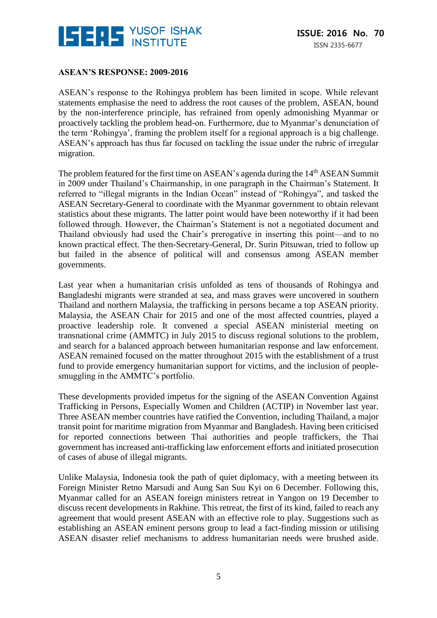

## **ASEAN'S RESPONSE: 2009-2016**

ASEAN's response to the Rohingya problem has been limited in scope. While relevant statements emphasise the need to address the root causes of the problem, ASEAN, bound by the non-interference principle, has refrained from openly admonishing Myanmar or proactively tackling the problem head-on. Furthermore, due to Myanmar's denunciation of the term 'Rohingya', framing the problem itself for a regional approach is a big challenge. ASEAN's approach has thus far focused on tackling the issue under the rubric of irregular migration.

The problem featured for the first time on ASEAN's agenda during the 14<sup>th</sup> ASEAN Summit in 2009 under Thailand's Chairmanship, in one paragraph in the Chairman's Statement. It referred to "illegal migrants in the Indian Ocean" instead of "Rohingya", and tasked the ASEAN Secretary-General to coordinate with the Myanmar government to obtain relevant statistics about these migrants. The latter point would have been noteworthy if it had been followed through. However, the Chairman's Statement is not a negotiated document and Thailand obviously had used the Chair's prerogative in inserting this point—and to no known practical effect. The then-Secretary-General, Dr. Surin Pitsuwan, tried to follow up but failed in the absence of political will and consensus among ASEAN member governments.

Last year when a humanitarian crisis unfolded as tens of thousands of Rohingya and Bangladeshi migrants were stranded at sea, and mass graves were uncovered in southern Thailand and northern Malaysia, the trafficking in persons became a top ASEAN priority. Malaysia, the ASEAN Chair for 2015 and one of the most affected countries, played a proactive leadership role. It convened a special ASEAN ministerial meeting on transnational crime (AMMTC) in July 2015 to discuss regional solutions to the problem, and search for a balanced approach between humanitarian response and law enforcement. ASEAN remained focused on the matter throughout 2015 with the establishment of a trust fund to provide emergency humanitarian support for victims, and the inclusion of peoplesmuggling in the AMMTC's portfolio.

These developments provided impetus for the signing of the ASEAN Convention Against Trafficking in Persons, Especially Women and Children (ACTIP) in November last year. Three ASEAN member countries have ratified the Convention, including Thailand, a major transit point for maritime migration from Myanmar and Bangladesh. Having been criticised for reported connections between Thai authorities and people traffickers, the Thai government has increased anti-trafficking law enforcement efforts and initiated prosecution of cases of abuse of illegal migrants.

Unlike Malaysia, Indonesia took the path of quiet diplomacy, with a meeting between its Foreign Minister Retno Marsudi and Aung San Suu Kyi on 6 December. Following this, Myanmar called for an ASEAN foreign ministers retreat in Yangon on 19 December to discuss recent developments in Rakhine. This retreat, the first of its kind, failed to reach any agreement that would present ASEAN with an effective role to play. Suggestions such as establishing an ASEAN eminent persons group to lead a fact-finding mission or utilising ASEAN disaster relief mechanisms to address humanitarian needs were brushed aside.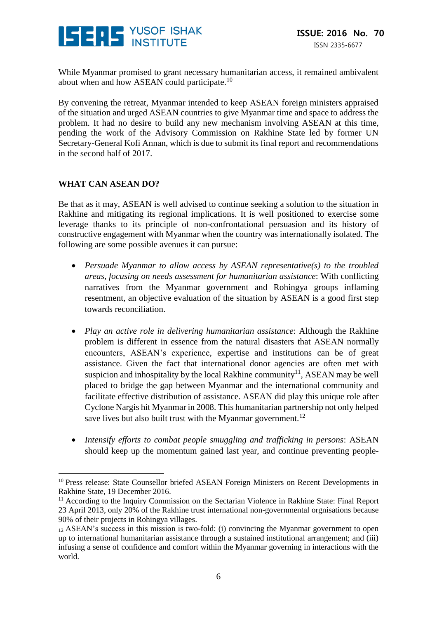

While Myanmar promised to grant necessary humanitarian access, it remained ambivalent about when and how ASEAN could participate.<sup>10</sup>

By convening the retreat, Myanmar intended to keep ASEAN foreign ministers appraised of the situation and urged ASEAN countries to give Myanmar time and space to address the problem. It had no desire to build any new mechanism involving ASEAN at this time, pending the work of the Advisory Commission on Rakhine State led by former UN Secretary-General Kofi Annan, which is due to submit its final report and recommendations in the second half of 2017.

### **WHAT CAN ASEAN DO?**

<u>.</u>

Be that as it may, ASEAN is well advised to continue seeking a solution to the situation in Rakhine and mitigating its regional implications. It is well positioned to exercise some leverage thanks to its principle of non-confrontational persuasion and its history of constructive engagement with Myanmar when the country was internationally isolated. The following are some possible avenues it can pursue:

- *Persuade Myanmar to allow access by ASEAN representative(s) to the troubled areas, focusing on needs assessment for humanitarian assistance*: With conflicting narratives from the Myanmar government and Rohingya groups inflaming resentment, an objective evaluation of the situation by ASEAN is a good first step towards reconciliation.
- *Play an active role in delivering humanitarian assistance*: Although the Rakhine problem is different in essence from the natural disasters that ASEAN normally encounters, ASEAN's experience, expertise and institutions can be of great assistance. Given the fact that international donor agencies are often met with suspicion and inhospitality by the local Rakhine community<sup>11</sup>, ASEAN may be well placed to bridge the gap between Myanmar and the international community and facilitate effective distribution of assistance. ASEAN did play this unique role after Cyclone Nargis hit Myanmar in 2008. This humanitarian partnership not only helped save lives but also built trust with the Myanmar government.<sup>12</sup>
- *Intensify efforts to combat people smuggling and trafficking in persons*: ASEAN should keep up the momentum gained last year, and continue preventing people-

<sup>&</sup>lt;sup>10</sup> Press release: State Counsellor briefed ASEAN Foreign Ministers on Recent Developments in Rakhine State, 19 December 2016.

<sup>&</sup>lt;sup>11</sup> According to the Inquiry Commission on the Sectarian Violence in Rakhine State: Final Report 23 April 2013, only 20% of the Rakhine trust international non-governmental orgnisations because 90% of their projects in Rohingya villages.

 $_{12}$  ASEAN's success in this mission is two-fold: (i) convincing the Myanmar government to open up to international humanitarian assistance through a sustained institutional arrangement; and (iii) infusing a sense of confidence and comfort within the Myanmar governing in interactions with the world.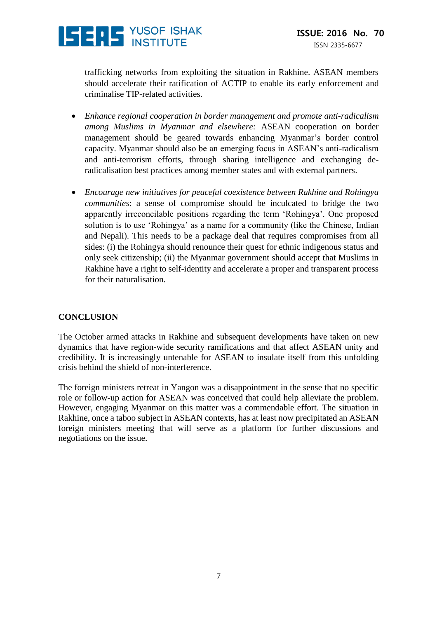

trafficking networks from exploiting the situation in Rakhine. ASEAN members should accelerate their ratification of ACTIP to enable its early enforcement and criminalise TIP-related activities.

- *Enhance regional cooperation in border management and promote anti-radicalism among Muslims in Myanmar and elsewhere:* ASEAN cooperation on border management should be geared towards enhancing Myanmar's border control capacity. Myanmar should also be an emerging focus in ASEAN's anti-radicalism and anti-terrorism efforts, through sharing intelligence and exchanging deradicalisation best practices among member states and with external partners.
- *Encourage new initiatives for peaceful coexistence between Rakhine and Rohingya communities*: a sense of compromise should be inculcated to bridge the two apparently irreconcilable positions regarding the term 'Rohingya'. One proposed solution is to use 'Rohingya' as a name for a community (like the Chinese, Indian and Nepali). This needs to be a package deal that requires compromises from all sides: (i) the Rohingya should renounce their quest for ethnic indigenous status and only seek citizenship; (ii) the Myanmar government should accept that Muslims in Rakhine have a right to self-identity and accelerate a proper and transparent process for their naturalisation.

#### **CONCLUSION**

The October armed attacks in Rakhine and subsequent developments have taken on new dynamics that have region-wide security ramifications and that affect ASEAN unity and credibility. It is increasingly untenable for ASEAN to insulate itself from this unfolding crisis behind the shield of non-interference.

The foreign ministers retreat in Yangon was a disappointment in the sense that no specific role or follow-up action for ASEAN was conceived that could help alleviate the problem. However, engaging Myanmar on this matter was a commendable effort. The situation in Rakhine, once a taboo subject in ASEAN contexts, has at least now precipitated an ASEAN foreign ministers meeting that will serve as a platform for further discussions and negotiations on the issue.